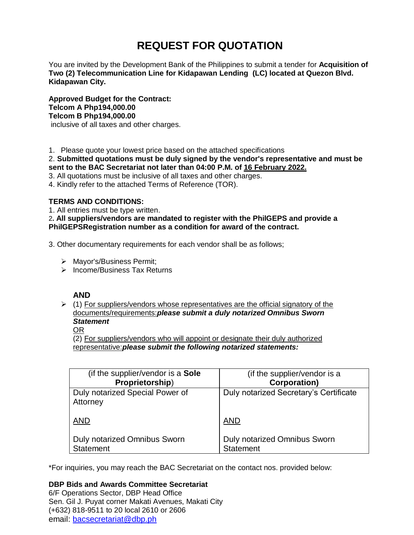# **REQUEST FOR QUOTATION**

You are invited by the Development Bank of the Philippines to submit a tender for **Acquisition of Two (2) Telecommunication Line for Kidapawan Lending (LC) located at Quezon Blvd. Kidapawan City.**

**Approved Budget for the Contract: Telcom A Php194,000.00 Telcom B Php194,000.00** inclusive of all taxes and other charges.

1. Please quote your lowest price based on the attached specifications

2. **Submitted quotations must be duly signed by the vendor's representative and must be sent to the BAC Secretariat not later than 04:00 P.M. of 16 February 2022.**

3. All quotations must be inclusive of all taxes and other charges.

4. Kindly refer to the attached Terms of Reference (TOR).

## **TERMS AND CONDITIONS:**

1. All entries must be type written.

2**. All suppliers/vendors are mandated to register with the PhilGEPS and provide a PhilGEPSRegistration number as a condition for award of the contract.**

3. Other documentary requirements for each vendor shall be as follows;

- > Mayor's/Business Permit;
- $\triangleright$  Income/Business Tax Returns

## **AND**

 $\geq$  (1) For suppliers/vendors whose representatives are the official signatory of the documents/requirements:*please submit a duly notarized Omnibus Sworn Statement*

## OR

(2) For suppliers/vendors who will appoint or designate their duly authorized representative:*please submit the following notarized statements:*

| (if the supplier/vendor is a Sole           | (if the supplier/vendor is a           |
|---------------------------------------------|----------------------------------------|
| Proprietorship)                             | <b>Corporation)</b>                    |
| Duly notarized Special Power of<br>Attorney | Duly notarized Secretary's Certificate |
| <b>AND</b>                                  | <b>AND</b>                             |
| <b>Duly notarized Omnibus Sworn</b>         | <b>Duly notarized Omnibus Sworn</b>    |
| <b>Statement</b>                            | <b>Statement</b>                       |

\*For inquiries, you may reach the BAC Secretariat on the contact nos. provided below:

## **DBP Bids and Awards Committee Secretariat**

6/F Operations Sector, DBP Head Office Sen. Gil J. Puyat corner Makati Avenues, Makati City (+632) 818-9511 to 20 local 2610 or 2606 email: [bacsecretariat@dbp.ph](mailto:bacsecretariat@dbp.ph)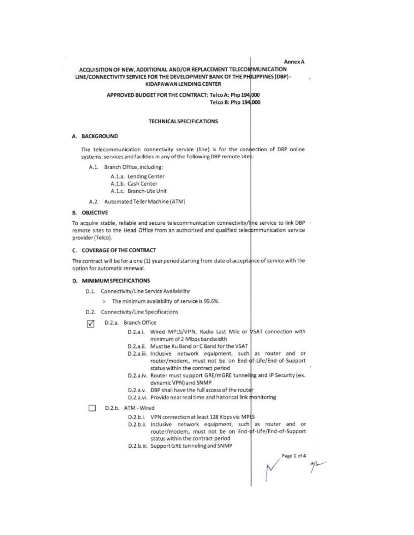#### Annex A

### ACQUISITION OF NEW, ADDITIONAL AND/OR REPLACEMENT TELECOMMUNICATION LINE/CONNECTIVITY SERVICE FOR THE DEVELOPMENT BANK OF THE PHILIPPINES (DBP)-**KIDAPAWAN LENDING CENTER**

#### APPROVED BUDGET FOR THE CONTRACT: Telco A: Php 194,000 Telco B: Php 194,000

#### **TECHNICAL SPECIFICATIONS**

#### A. BACKGROUND

The telecommunication connectivity service (line) is for the connection of DBP online systems, services and facilities in any of the following DBP remote sites:

- A.1. Branch Office, including:
	- A.1.a. Lending Center A.1.b. Cash Center A.1.c. Branch-Lite Unit
- A.2. Automated Teller Machine (ATM)

#### **B. OBJECTIVE**

To acquire stable, reliable and secure telecommunication connectivity/line service to link DBP + remote sites to the Head Office from an authorized and qualified telecommunication service provider (Telco).

#### C. COVERAGE OF THE CONTRACT

The contract will be for a one (1) year period starting from date of acceptance of service with the option for automatic renewal.

#### D. MINIMUM SPECIFICATIONS

- D.1. Connectivity/Line Service Availability
	- > The minimum availability of service is 99.6%.
- D.2. Connectivity/Line Specifications
- D.2.a. Branch Office ☑
	- D.2.a.i. Wired MPLS/VPN, Radio Last Mile or VSAT connection with minimum of 2 Mbps bandwidth
	- D.2.a.ii. Must be Ku Band or C Band for the VSAT
	- D.2.a.iii. Inclusive network equipment, such as router and or router/modem, must not be on End-of-Life/End-of-Support status within the contract period
	- D.2.a.iv. Router must support GRE/mGRE tunneling and IP Security (ex. dynamic VPN) and SNMP
	- D.2.a.v. DBP shall have the full access of the router
	- D.2.a.vi. Provide near real time and historical link monitoring
	- D.2.b. ATM Wired

п

- D.2.b.i. VPN connection at least 128 Kbps via MP(S
- D.2.b.ii. Inclusive network equipment, such as router and or router/modem, must not be on End-of-Life/End-of-Support status within the contract period
- D.2.b.iii. Support GRE tunneling and SNMP

Page 1 of 4  $N \rightarrow 1$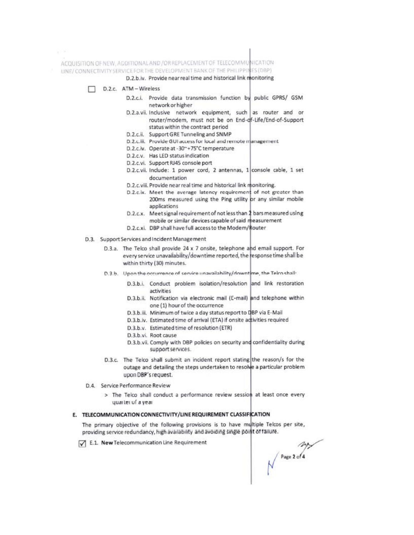ACQUISITION OF NEW, ADDITIONAL AND / OR REPLACEMENT OF TELECOMMUNICATION LINE/CONNECTIVITY SERVICE FOR THE DEVELOPMENT BANK OF THE PHILIPPINES (DBP)

D.2.b.iv. Provide near real time and historical link monitoring

D.2.c. ATM-Wireless

 $\chi=0.5$ 

- D.2.c.i. Provide data transmission function by public GPRS/ GSM network or higher
- D.2.a.vii. Inclusive network equipment, such as router and or router/modem, must not be on End-df-Life/End-of-Support status within the contract period
- D.2.c.ii. Support GRE Tunneling and SNMP
- D.2.c.iii. Provide GUI access for local and remote management
- D.2.c.lv. Operate at -30~+75°C temperature
- D.2.c.v. Has LED status indication
- D.2.c.vi. Support RJ45 console port
- D.2.c.vii. Include: 1 power cord, 2 antennas, 1 console cable, 1 set documentation
- D.2.c.viii. Provide near real time and historical link monitoring.
- D.2.c.ix. Meet the average latency requirement of not greater than 200ms measured using the Ping utility or any similar mobile applications
- D.2.c.x. Meet signal requirement of not less than 2 bars measured using mobile or similar devices capable of said measurement
- D.2.c.xi. DBP shall have full access to the Modem/Router
- D.3. Support Services and Incident Management
	- D.3.a. The Telco shall provide 24 x 7 onsite, telephone and email support. For every service unavailability/downtime reported, the response time shall be within thirty (30) minutes.
	- D.3.b. Upon the occurrence of service unavailability/downtime, the Telco shall-
		- D.3.b.i. Conduct problem isolation/resolution and link restoration activities
		- D.3.b.ii. Notification via electronic mail (E-mail) and telephone within one (1) hour of the occurrence
		- D.3.b.iii. Minimum of twice a day status report to DBP via E-Mail
		- D.3.b.iv. Estimated time of arrival (ETA) if onsite activities required
		- D.3.b.v. Estimated time of resolution (ETR)
		- D.3.b.vi. Root cause
		- D.3.b.vii. Comply with DBP policies on security and confidentiality during support services.
	- D.3.c. The Telco shall submit an incident report stating the reason/s for the outage and detailing the steps undertaken to resolve a particular problem upon DBP's request.
- D.4. Service Performance Review
	- > The Telco shall conduct a performance review session at least once every quarter of a year

#### E. TELECOMMUNICATION CONNECTIVITY/LINE REQUIREMENT CLASSIFICATION

The primary objective of the following provisions is to have multiple Telcos per site, providing service redundancy, high availability and avoiding single point of failure.

E.1. New Telecommunication Line Requirement

 $\bigvee^{Page 2014}$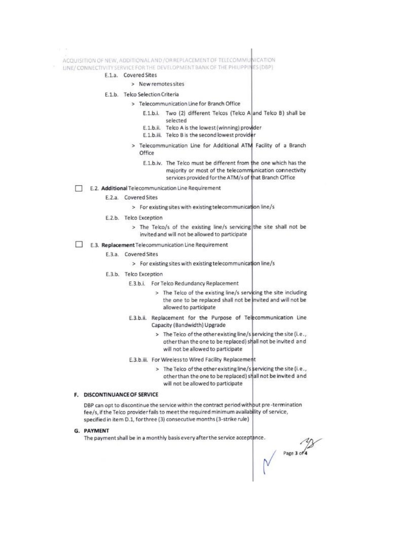ACQUISITION OF NEW, ADDITIONAL AND / OR REPLACEMENT OF TELECOMMUNICATION

- LINE/ CONNECTIVITY SERVICE FOR THE DEVELOPMENT BANK OF THE PHILIPPINES (DBP)
	- E.1.a. Covered Sites

#### > New remotes sites

#### E.1.b. Telco Selection Criteria

- > Telecommunication Line for Branch Office
	- E.1.b.i. Two (2) different Telcos (Telco A and Telco B) shall be selected
	- E.1.b.ii. Telco A is the lowest (winning) provider
	- E.1.b.iii. Telco B is the second lowest provider
- > Telecommunication Line for Additional ATM Facility of a Branch Office
	- E.1.b.iv. The Telco must be different from the one which has the majority or most of the telecommunication connectivity services provided for the ATM/s of that Branch Office
- E.2. Additional Telecommunication Line Requirement
	- E.2.a. Covered Sites
		- > For existing sites with existing telecommunication line/s
	- E.2.b. Telco Exception
		- > The Telco/s of the existing line/s servicing the site shall not be invited and will not be allowed to participate
- E.3. Replacement Telecommunication Line Requirement
	- E.3.a. Covered Sites
		- > For existing sites with existing telecommunication line/s
	- E.3.b. Telco Exception
		- E.3.b.i. For Telco Redundancy Replacement
			- > The Telco of the existing line/s servicing the site including the one to be replaced shall not be invited and will not be allowed to participate
		- E.3.b.ii. Replacement for the Purpose of Telecommunication Line Capacity (Bandwidth) Upgrade
			- > The Telco of the other existing line/s servicing the site (i.e., other than the one to be replaced) shall not be invited and will not be allowed to participate
		- E.3.b.iii. For Wireless to Wired Facility Replacement
			- > The Telco of the other existing line/s servicing the site (i.e., other than the one to be replaced) shall not be invited and will not be allowed to participate

#### F. DISCONTINUANCE OF SERVICE

DBP can opt to discontinue the service within the contract period without pre-termination fee/s, if the Telco provider fails to meet the required minimum availability of service, specified in item D.1, for three (3) consecutive months (3-strike rule)

G. PAYMENT

The payment shall be in a monthly basis every after the service acceptance.

Page 3 of 4